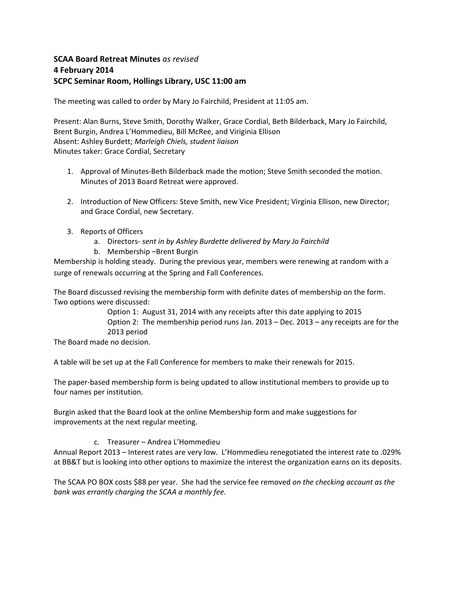## **SCAA Board Retreat Minutes** *as revised* **4 February 2014 SCPC Seminar Room, Hollings Library, USC 11:00 am**

The meeting was called to order by Mary Jo Fairchild, President at 11:05 am.

Present: Alan Burns, Steve Smith, Dorothy Walker, Grace Cordial, Beth Bilderback, Mary Jo Fairchild, Brent Burgin, Andrea L'Hommedieu, Bill McRee, and Viriginia Ellison Absent: Ashley Burdett; *Marleigh Chiels, student liaison* Minutes taker: Grace Cordial, Secretary

- 1. Approval of Minutes‐Beth Bilderback made the motion; Steve Smith seconded the motion. Minutes of 2013 Board Retreat were approved.
- 2. Introduction of New Officers: Steve Smith, new Vice President; Virginia Ellison, new Director; and Grace Cordial, new Secretary.
- 3. Reports of Officers
	- a. Directors‐ *sent in by Ashley Burdette delivered by Mary Jo Fairchild*
	- b. Membership –Brent Burgin

Membership is holding steady. During the previous year, members were renewing at random with a surge of renewals occurring at the Spring and Fall Conferences.

The Board discussed revising the membership form with definite dates of membership on the form. Two options were discussed:

> Option 1: August 31, 2014 with any receipts after this date applying to 2015 Option 2: The membership period runs Jan. 2013 – Dec. 2013 – any receipts are for the 2013 period

The Board made no decision.

A table will be set up at the Fall Conference for members to make their renewals for 2015.

The paper‐based membership form is being updated to allow institutional members to provide up to four names per institution.

Burgin asked that the Board look at the online Membership form and make suggestions for improvements at the next regular meeting.

c. Treasurer – Andrea L'Hommedieu

Annual Report 2013 – Interest rates are very low. L'Hommedieu renegotiated the interest rate to .029% at BB&T but is looking into other options to maximize the interest the organization earns on its deposits.

The SCAA PO BOX costs \$88 per year. She had the service fee removed *on the checking account as the bank was errantly charging the SCAA a monthly fee.*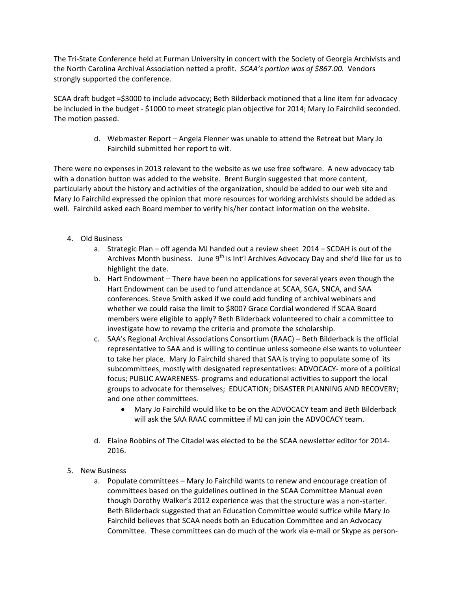The Tri‐State Conference held at Furman University in concert with the Society of Georgia Archivists and the North Carolina Archival Association netted a profit. *SCAA's portion was of \$867.00.* Vendors strongly supported the conference.

SCAA draft budget =\$3000 to include advocacy; Beth Bilderback motioned that a line item for advocacy be included in the budget - \$1000 to meet strategic plan objective for 2014; Mary Jo Fairchild seconded. The motion passed.

> d. Webmaster Report – Angela Flenner was unable to attend the Retreat but Mary Jo Fairchild submitted her report to wit.

There were no expenses in 2013 relevant to the website as we use free software. A new advocacy tab with a donation button was added to the website. Brent Burgin suggested that more content, particularly about the history and activities of the organization, should be added to our web site and Mary Jo Fairchild expressed the opinion that more resources for working archivists should be added as well. Fairchild asked each Board member to verify his/her contact information on the website.

- 4. Old Business
	- a. Strategic Plan off agenda MJ handed out a review sheet 2014 SCDAH is out of the Archives Month business. June  $9<sup>th</sup>$  is Int'l Archives Advocacy Day and she'd like for us to highlight the date.
	- b. Hart Endowment There have been no applications for several years even though the Hart Endowment can be used to fund attendance at SCAA, SGA, SNCA, and SAA conferences. Steve Smith asked if we could add funding of archival webinars and whether we could raise the limit to \$800? Grace Cordial wondered if SCAA Board members were eligible to apply? Beth Bilderback volunteered to chair a committee to investigate how to revamp the criteria and promote the scholarship.
	- c. SAA's Regional Archival Associations Consortium (RAAC) Beth Bilderback is the official representative to SAA and is willing to continue unless someone else wants to volunteer to take her place. Mary Jo Fairchild shared that SAA is trying to populate some of its subcommittees, mostly with designated representatives: ADVOCACY‐ more of a political focus; PUBLIC AWARENESS‐ programs and educational activities to support the local groups to advocate for themselves; EDUCATION; DISASTER PLANNING AND RECOVERY; and one other committees.
		- Mary Jo Fairchild would like to be on the ADVOCACY team and Beth Bilderback will ask the SAA RAAC committee if MJ can join the ADVOCACY team.
	- d. Elaine Robbins of The Citadel was elected to be the SCAA newsletter editor for 2014‐ 2016.
- 5. New Business
	- a. Populate committees Mary Jo Fairchild wants to renew and encourage creation of committees based on the guidelines outlined in the SCAA Committee Manual even though Dorothy Walker's 2012 experience was that the structure was a non‐starter. Beth Bilderback suggested that an Education Committee would suffice while Mary Jo Fairchild believes that SCAA needs both an Education Committee and an Advocacy Committee. These committees can do much of the work via e‐mail or Skype as person‐